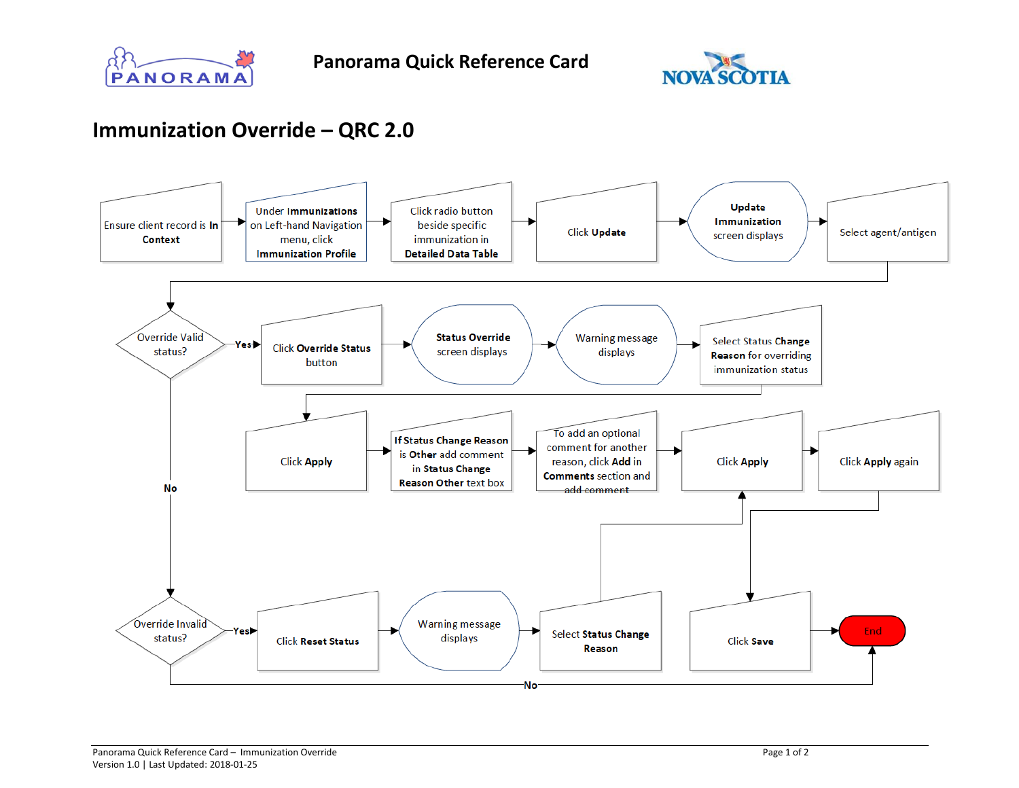



## **Immunization Override – QRC 2.0**